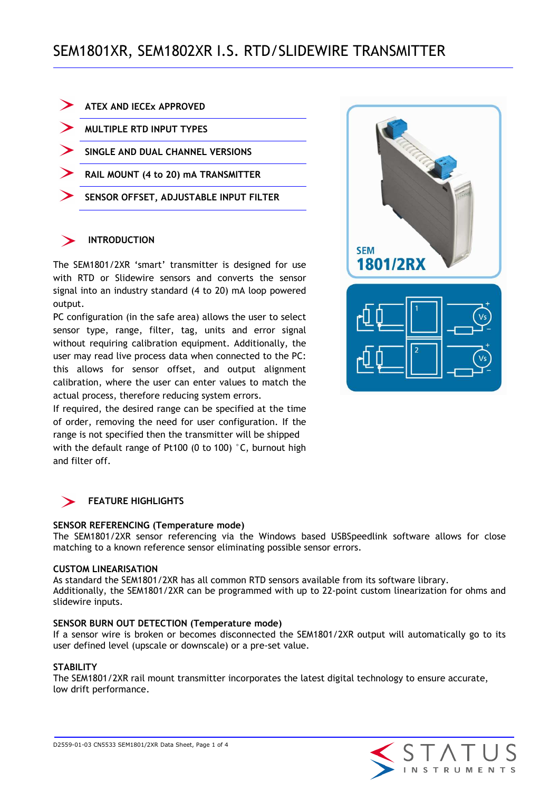| <b>ATEX AND IECEX APPROVED</b>         |
|----------------------------------------|
| <b>MULTIPLE RTD INPUT TYPES</b>        |
| SINGLE AND DUAL CHANNEL VERSIONS       |
| RAIL MOUNT (4 to 20) MA TRANSMITTER    |
| SENSOR OFFSET, ADJUSTABLE INPUT FILTER |
|                                        |

## **INTRODUCTION**

The SEM1801/2XR 'smart' transmitter is designed for use with RTD or Slidewire sensors and converts the sensor signal into an industry standard (4 to 20) mA loop powered output.

PC configuration (in the safe area) allows the user to select sensor type, range, filter, tag, units and error signal without requiring calibration equipment. Additionally, the user may read live process data when connected to the PC: this allows for sensor offset, and output alignment calibration, where the user can enter values to match the actual process, therefore reducing system errors.

If required, the desired range can be specified at the time of order, removing the need for user configuration. If the range is not specified then the transmitter will be shipped with the default range of Pt100 (0 to 100) °C, burnout high and filter off.



## **FEATURE HIGHLIGHTS**

### **SENSOR REFERENCING (Temperature mode)**

The SEM1801/2XR sensor referencing via the Windows based USBSpeedlink software allows for close matching to a known reference sensor eliminating possible sensor errors.

### **CUSTOM LINEARISATION**

As standard the SEM1801/2XR has all common RTD sensors available from its software library. Additionally, the SEM1801/2XR can be programmed with up to 22-point custom linearization for ohms and slidewire inputs.

### **SENSOR BURN OUT DETECTION (Temperature mode)**

If a sensor wire is broken or becomes disconnected the SEM1801/2XR output will automatically go to its user defined level (upscale or downscale) or a pre-set value.

### **STABILITY**

The SEM1801/2XR rail mount transmitter incorporates the latest digital technology to ensure accurate, low drift performance.

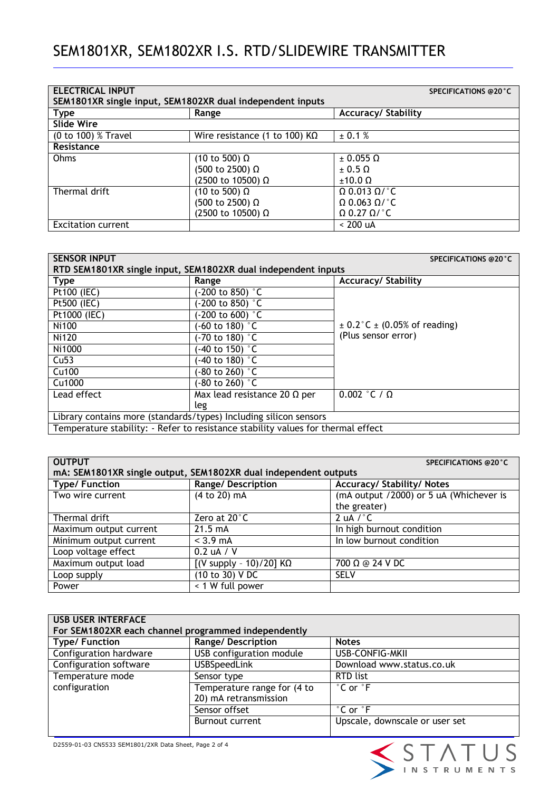| <b>ELECTRICAL INPUT</b><br>SEM1801XR single input, SEM1802XR dual independent inputs | <b>SPECIFICATIONS @20°C</b>          |                             |
|--------------------------------------------------------------------------------------|--------------------------------------|-----------------------------|
| <b>Type</b>                                                                          | Range                                | <b>Accuracy/ Stability</b>  |
| Slide Wire                                                                           |                                      |                             |
| (0 to 100) % Travel                                                                  | Wire resistance (1 to 100) $K\Omega$ | ± 0.1 %                     |
| Resistance                                                                           |                                      |                             |
| Ohms                                                                                 | (10 to 500) $\Omega$                 | $\pm$ 0.055 $\Omega$        |
|                                                                                      | (500 to 2500) Ω                      | $+0.5O$                     |
|                                                                                      | (2500 to 10500) Ω                    | $±10.0 \Omega$              |
| Thermal drift                                                                        | (10 to 500) $\Omega$                 | $\Omega$ 0.013 $\Omega$ /°C |
|                                                                                      | (500 to 2500) Ω                      | $\Omega$ 0.063 $\Omega$ /°C |
|                                                                                      | (2500 to 10500) Ω                    | $\Omega$ 0.27 $\Omega$ /°C  |
| <b>Excitation current</b>                                                            |                                      | $< 200$ uA                  |

| <b>SENSOR INPUT</b>                                                              |                                     | <b>SPECIFICATIONS @20°C</b>          |
|----------------------------------------------------------------------------------|-------------------------------------|--------------------------------------|
| RTD SEM1801XR single input, SEM1802XR dual independent inputs                    |                                     |                                      |
| <b>Type</b>                                                                      | Range                               | <b>Accuracy/ Stability</b>           |
| Pt100 (IEC)                                                                      | $-200$ to 850) $^{\circ}$ C         |                                      |
| Pt500 (IEC)                                                                      | $-200$ to 850) $^{\circ}$ C         |                                      |
| Pt1000 (IEC)                                                                     | $-200$ to 600) $^{\circ}$ C         |                                      |
| Ni100                                                                            | $-60$ to 180) $^{\circ}$ C          | $\pm$ 0.2°C $\pm$ (0.05% of reading) |
| Ni120                                                                            | $-70$ to 180) $^{\circ}$ C          | (Plus sensor error)                  |
| Ni1000                                                                           | $-40$ to 150) $^{\circ}$ C          |                                      |
| Cu <sub>53</sub>                                                                 | $-40$ to 180) $^{\circ}$ C          |                                      |
| Cu100                                                                            | $-80$ to 260) $^{\circ}$ C          |                                      |
| Cu1000                                                                           | $-80$ to 260) $^{\circ}$ C          |                                      |
| Lead effect                                                                      | Max lead resistance 20 $\Omega$ per | $0.002$ °C / $\Omega$                |
|                                                                                  | leg                                 |                                      |
| Library contains more (standards/types) Including silicon sensors                |                                     |                                      |
| Temperature stability: - Refer to resistance stability values for thermal effect |                                     |                                      |

| <b>OUTPUT</b>                                                   |                                           | <b>SPECIFICATIONS @20°C</b>             |
|-----------------------------------------------------------------|-------------------------------------------|-----------------------------------------|
| mA: SEM1801XR single output, SEM1802XR dual independent outputs |                                           |                                         |
| <b>Type/Function</b>                                            | <b>Range/Description</b>                  | <b>Accuracy/ Stability/ Notes</b>       |
| Two wire current                                                | (4 to 20) mA                              | (mA output /2000) or 5 uA (Whichever is |
|                                                                 |                                           | the greater)                            |
| Thermal drift                                                   | Zero at 20°C                              | 2 uA $/$ $^{\circ}$ C                   |
| Maximum output current                                          | $21.5 \text{ mA}$                         | In high burnout condition               |
| Minimum output current                                          | $<$ 3.9 mA                                | In low burnout condition                |
| Loop voltage effect                                             | 0.2 uA / V                                |                                         |
| Maximum output load                                             | [(V supply - 10)/20] $\overline{K\Omega}$ | 700 Ω @ 24 V DC                         |
| Loop supply                                                     | (10 to 30) VDC                            | <b>SELV</b>                             |
| Power                                                           | < 1 W full power                          |                                         |

| <b>USB USER INTERFACE</b><br>For SEM1802XR each channel programmed independently |                             |                                |
|----------------------------------------------------------------------------------|-----------------------------|--------------------------------|
| <b>Type/Function</b>                                                             | <b>Range/Description</b>    | <b>Notes</b>                   |
| Configuration hardware                                                           | USB configuration module    | USB-CONFIG-MKII                |
| Configuration software                                                           | <b>USBSpeedLink</b>         | Download www.status.co.uk      |
| Temperature mode                                                                 | Sensor type                 | RTD list                       |
| configuration                                                                    | Temperature range for (4 to | $\degree$ C or $\degree$ F     |
|                                                                                  | 20) mA retransmission       |                                |
|                                                                                  | Sensor offset               | $^{\circ}$ C or $^{\circ}$ F   |
|                                                                                  | <b>Burnout current</b>      | Upscale, downscale or user set |

STATUS<br>PINSTRUMENTS

D2559-01-03 CN5533 SEM1801/2XR Data Sheet, Page 2 of 4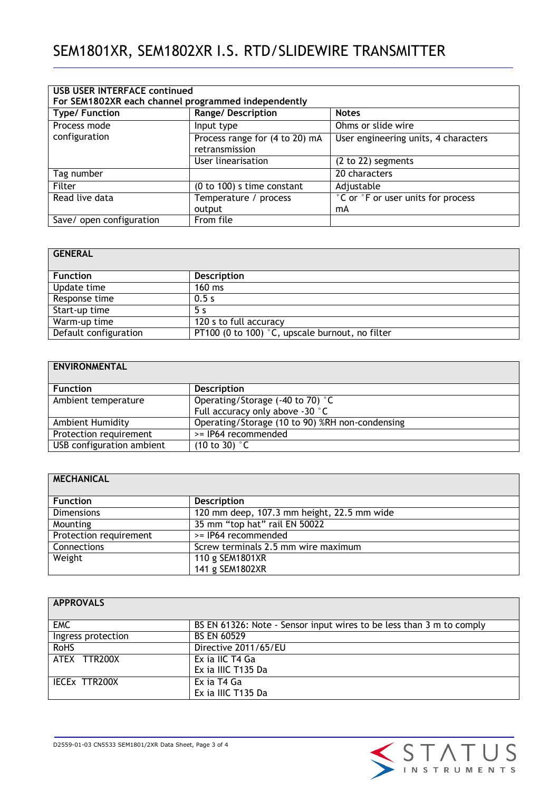| <b>USB USER INTERFACE continued</b><br>For SEM1802XR each channel programmed independently |                                                  |                                      |
|--------------------------------------------------------------------------------------------|--------------------------------------------------|--------------------------------------|
| <b>Type/Function</b>                                                                       | <b>Range/Description</b>                         | <b>Notes</b>                         |
| Process mode                                                                               | Input type                                       | Ohms or slide wire                   |
| configuration                                                                              | Process range for (4 to 20) mA<br>retransmission | User engineering units, 4 characters |
|                                                                                            | User linearisation                               | (2 to 22) segments                   |
| Tag number                                                                                 |                                                  | 20 characters                        |
| Filter                                                                                     | $(0 to 100)$ s time constant                     | Adjustable                           |
| Read live data                                                                             | Temperature / process                            | °C or °F or user units for process   |
|                                                                                            | output                                           | mA                                   |
| Save/ open configuration                                                                   | From file                                        |                                      |

| <b>GENERAL</b>        |                                                 |
|-----------------------|-------------------------------------------------|
|                       |                                                 |
| <b>Function</b>       | <b>Description</b>                              |
| Update time           | $160$ ms                                        |
| Response time         | 0.5s                                            |
| Start-up time         | 5 s                                             |
| Warm-up time          | 120 s to full accuracy                          |
| Default configuration | PT100 (0 to 100) °C, upscale burnout, no filter |

# **ENVIRONMENTAL**

| <b>Function</b>           | <b>Description</b>                              |
|---------------------------|-------------------------------------------------|
| Ambient temperature       | Operating/Storage (-40 to 70) °C                |
|                           | Full accuracy only above -30 °C                 |
| Ambient Humidity          | Operating/Storage (10 to 90) %RH non-condensing |
| Protection requirement    | >= IP64 recommended                             |
| USB configuration ambient | $(10 \text{ to } 30)$ °C                        |

| <b>MECHANICAL</b>      |                                            |
|------------------------|--------------------------------------------|
|                        |                                            |
| <b>Function</b>        | <b>Description</b>                         |
| <b>Dimensions</b>      | 120 mm deep, 107.3 mm height, 22.5 mm wide |
| Mounting               | 35 mm "top hat" rail EN 50022              |
| Protection requirement | >= IP64 recommended                        |
| Connections            | Screw terminals 2.5 mm wire maximum        |
| Weight                 | 110 g SEM1801XR                            |
|                        | 141 g SEM1802XR                            |

| <b>APPROVALS</b>   |                                                                      |
|--------------------|----------------------------------------------------------------------|
| <b>EMC</b>         | BS EN 61326: Note - Sensor input wires to be less than 3 m to comply |
| Ingress protection | <b>BS EN 60529</b>                                                   |
| <b>RoHS</b>        | Directive 2011/65/EU                                                 |
| ATEX TTR200X       | Ex ia IIC T4 Ga                                                      |
|                    | Ex ia IIIC T135 Da                                                   |
| IECEX TTR200X      | Ex ia T4 Ga                                                          |
|                    | Ex ia IIIC T135 Da                                                   |